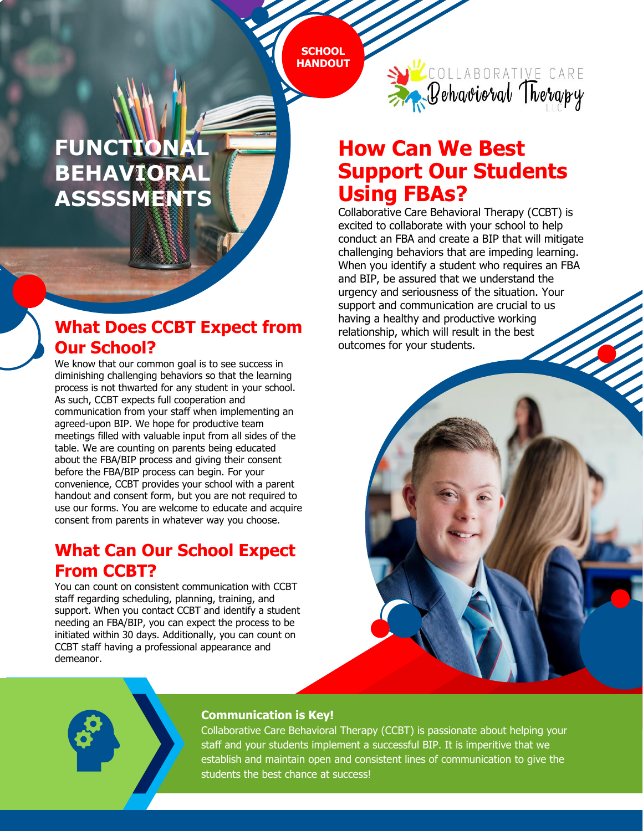**SCHOOL HANDOUT**

### **PARENT TEACHERS ASSOCIATION FUNCTIONA BEHAVIORAL ASSSSMENTS**

## **What Does CCBT Expect from Our School?**

We know that our common goal is to see success in diminishing challenging behaviors so that the learning process is not thwarted for any student in your school. As such, CCBT expects full cooperation and communication from your staff when implementing an agreed-upon BIP. We hope for productive team meetings filled with valuable input from all sides of the table. We are counting on parents being educated about the FBA/BIP process and giving their consent before the FBA/BIP process can begin. For your convenience, CCBT provides your school with a parent handout and consent form, but you are not required to use our forms. You are welcome to educate and acquire consent from parents in whatever way you choose.

### **What Can Our School Expect From CCBT?**

You can count on consistent communication with CCBT staff regarding scheduling, planning, training, and support. When you contact CCBT and identify a student needing an FBA/BIP, you can expect the process to be initiated within 30 days. Additionally, you can count on CCBT staff having a professional appearance and demeanor.



# **How Can We Best Support Our Students Using FBAs?**

Collaborative Care Behavioral Therapy (CCBT) is excited to collaborate with your school to help conduct an FBA and create a BIP that will mitigate challenging behaviors that are impeding learning. When you identify a student who requires an FBA and BIP, be assured that we understand the urgency and seriousness of the situation. Your support and communication are crucial to us having a healthy and productive working relationship, which will result in the best outcomes for your students.



#### **Communication is Key!**

Collaborative Care Behavioral Therapy (CCBT) is passionate about helping your staff and your students implement a successful BIP. It is imperitive that we establish and maintain open and consistent lines of communication to give the students the best chance at success!